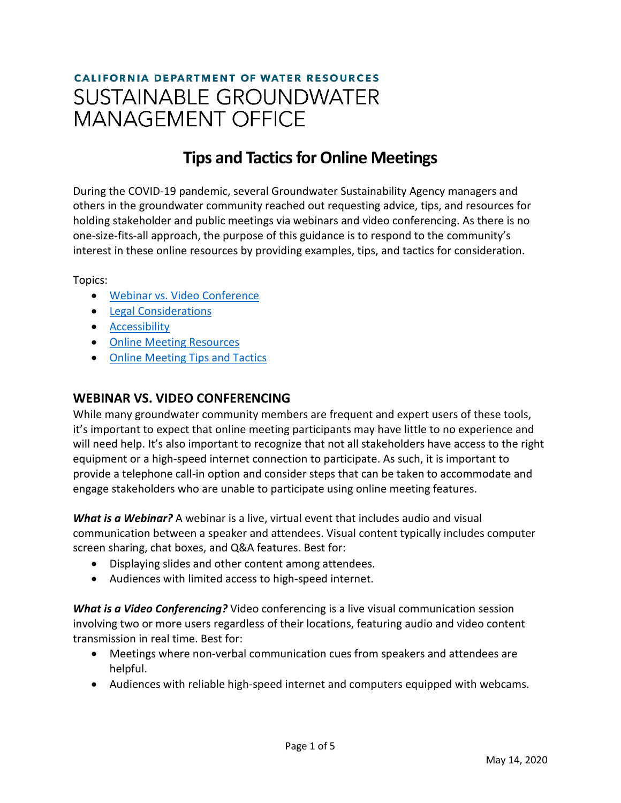# **CALIFORNIA DEPARTMENT OF WATER RESOURCES SUSTAINABLE GROUNDWATER MANAGEMENT OFFICE**

## **Tips and Tactics for Online Meetings**

During the COVID-19 pandemic, several Groundwater Sustainability Agency managers and others in the groundwater community reached out requesting advice, tips, and resources for holding stakeholder and public meetings via webinars and video conferencing. As there is no one-size-fits-all approach, the purpose of this guidance is to respond to the community's interest in these online resources by providing examples, tips, and tactics for consideration.

Topics:

- Webinar vs. [Video Conference](#page-0-0)
- [Legal Considerations](#page-1-0)
- [Accessibility](#page-1-1)
- [Online Meeting Resources](#page-1-2)
- [Online Meeting Tips and Tactics](#page-1-3)

#### <span id="page-0-0"></span>**WEBINAR VS. VIDEO CONFERENCING**

While many groundwater community members are frequent and expert users of these tools, it's important to expect that online meeting participants may have little to no experience and will need help. It's also important to recognize that not all stakeholders have access to the right equipment or a high-speed internet connection to participate. As such, it is important to provide a telephone call-in option and consider steps that can be taken to accommodate and engage stakeholders who are unable to participate using online meeting features.

*What is a Webinar?* A webinar is a live, virtual event that includes audio and visual communication between a speaker and attendees. Visual content typically includes computer screen sharing, chat boxes, and Q&A features. Best for:

- Displaying slides and other content among attendees.
- Audiences with limited access to high-speed internet.

*What is a Video Conferencing?* Video conferencing is a live visual communication session involving two or more users regardless of their locations, featuring audio and video content transmission in real time. Best for:

- Meetings where non-verbal communication cues from speakers and attendees are helpful.
- Audiences with reliable high-speed internet and computers equipped with webcams.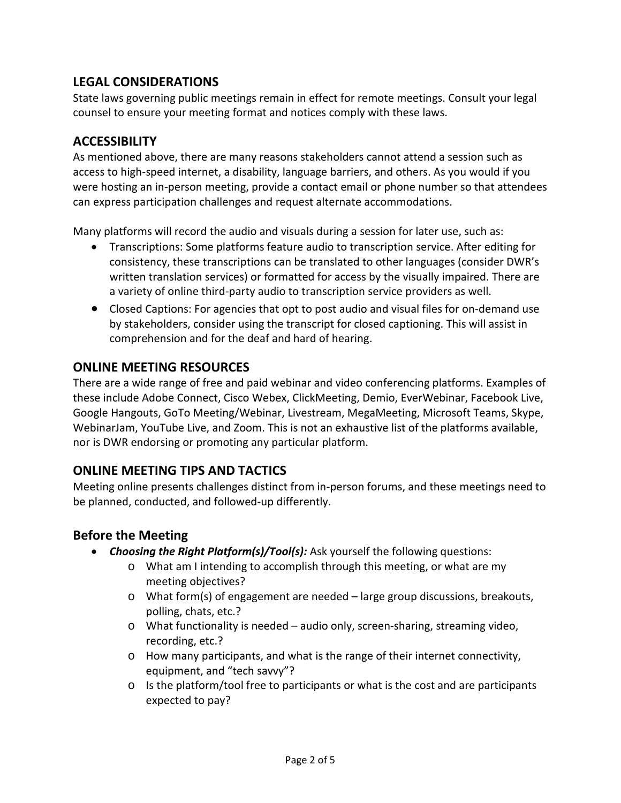### <span id="page-1-0"></span>**LEGAL CONSIDERATIONS**

State laws governing public meetings remain in effect for remote meetings. Consult your legal counsel to ensure your meeting format and notices comply with these laws.

#### <span id="page-1-1"></span>**ACCESSIBILITY**

As mentioned above, there are many reasons stakeholders cannot attend a session such as access to high-speed internet, a disability, language barriers, and others. As you would if you were hosting an in-person meeting, provide a contact email or phone number so that attendees can express participation challenges and request alternate accommodations.

Many platforms will record the audio and visuals during a session for later use, such as:

- Transcriptions: Some platforms feature audio to transcription service. After editing for consistency, these transcriptions can be translated to other languages (consider DWR's written translation services) or formatted for access by the visually impaired. There are a variety of online third-party audio to transcription service providers as well.
- Closed Captions: For agencies that opt to post audio and visual files for on-demand use by stakeholders, consider using the transcript for closed captioning. This will assist in comprehension and for the deaf and hard of hearing.

#### <span id="page-1-2"></span>**ONLINE MEETING RESOURCES**

There are a wide range of free and paid webinar and video conferencing platforms. Examples of these include Adobe Connect, Cisco Webex, ClickMeeting, Demio, EverWebinar, Facebook Live, Google Hangouts, GoTo Meeting/Webinar, Livestream, MegaMeeting, Microsoft Teams, Skype, WebinarJam, YouTube Live, and Zoom. This is not an exhaustive list of the platforms available, nor is DWR endorsing or promoting any particular platform.

#### <span id="page-1-3"></span>**ONLINE MEETING TIPS AND TACTICS**

Meeting online presents challenges distinct from in-person forums, and these meetings need to be planned, conducted, and followed-up differently.

#### **Before the Meeting**

- *Choosing the Right Platform(s)/Tool(s):* Ask yourself the following questions:
	- o What am I intending to accomplish through this meeting, or what are my meeting objectives?
	- o What form(s) of engagement are needed large group discussions, breakouts, polling, chats, etc.?
	- o What functionality is needed audio only, screen-sharing, streaming video, recording, etc.?
	- o How many participants, and what is the range of their internet connectivity, equipment, and "tech savvy"?
	- o Is the platform/tool free to participants or what is the cost and are participants expected to pay?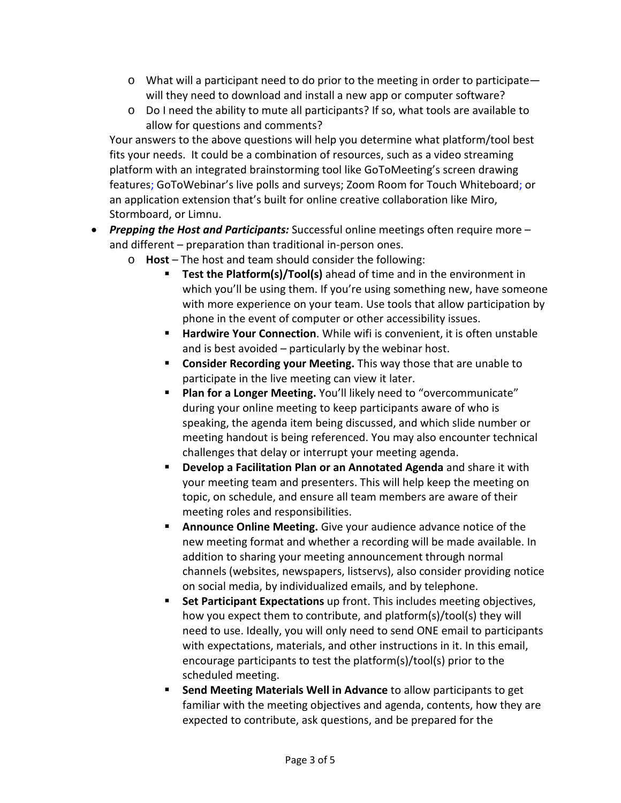- $\circ$  What will a participant need to do prior to the meeting in order to participate will they need to download and install a new app or computer software?
- o Do I need the ability to mute all participants? If so, what tools are available to allow for questions and comments?

Your answers to the above questions will help you determine what platform/tool best fits your needs. It could be a combination of resources, such as a video streaming platform with an integrated brainstorming tool like GoToMeeting's screen drawing features; GoToWebinar's live polls and surveys; Zoom Room for Touch Whiteboard; or an application extension that's built for online creative collaboration like Miro, Stormboard, or Limnu.

- *Prepping the Host and Participants:* Successful online meetings often require more and different – preparation than traditional in-person ones.
	- o **Host** The host and team should consider the following:
		- **Test the Platform(s)/Tool(s)** ahead of time and in the environment in which you'll be using them. If you're using something new, have someone with more experience on your team. Use tools that allow participation by phone in the event of computer or other accessibility issues.
		- **Hardwire Your Connection**. While wifi is convenient, it is often unstable and is best avoided – particularly by the webinar host.
		- **Consider Recording your Meeting.** This way those that are unable to participate in the live meeting can view it later.
		- **Plan for a Longer Meeting.** You'll likely need to "overcommunicate" during your online meeting to keep participants aware of who is speaking, the agenda item being discussed, and which slide number or meeting handout is being referenced. You may also encounter technical challenges that delay or interrupt your meeting agenda.
		- **Develop a Facilitation Plan or an Annotated Agenda** and share it with your meeting team and presenters. This will help keep the meeting on topic, on schedule, and ensure all team members are aware of their meeting roles and responsibilities.
		- **Announce Online Meeting.** Give your audience advance notice of the new meeting format and whether a recording will be made available. In addition to sharing your meeting announcement through normal channels (websites, newspapers, listservs), also consider providing notice on social media, by individualized emails, and by telephone.
		- **Set Participant Expectations** up front. This includes meeting objectives, how you expect them to contribute, and platform(s)/tool(s) they will need to use. Ideally, you will only need to send ONE email to participants with expectations, materials, and other instructions in it. In this email, encourage participants to test the platform(s)/tool(s) prior to the scheduled meeting.
		- **Send Meeting Materials Well in Advance** to allow participants to get familiar with the meeting objectives and agenda, contents, how they are expected to contribute, ask questions, and be prepared for the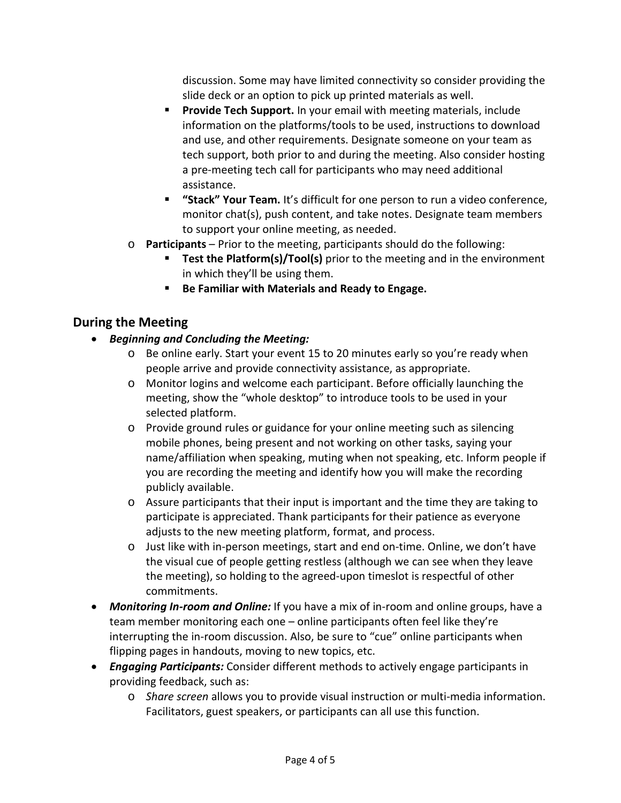discussion. Some may have limited connectivity so consider providing the slide deck or an option to pick up printed materials as well.

- **Provide Tech Support.** In your email with meeting materials, include information on the platforms/tools to be used, instructions to download and use, and other requirements. Designate someone on your team as tech support, both prior to and during the meeting. Also consider hosting a pre-meeting tech call for participants who may need additional assistance.
- **"Stack" Your Team.** It's difficult for one person to run a video conference, monitor chat(s), push content, and take notes. Designate team members to support your online meeting, as needed.
- o **Participants** Prior to the meeting, participants should do the following:
	- **Test the Platform(s)/Tool(s)** prior to the meeting and in the environment in which they'll be using them.
	- **Be Familiar with Materials and Ready to Engage.**

### **During the Meeting**

- *Beginning and Concluding the Meeting:*
	- o Be online early. Start your event 15 to 20 minutes early so you're ready when people arrive and provide connectivity assistance, as appropriate.
	- o Monitor logins and welcome each participant. Before officially launching the meeting, show the "whole desktop" to introduce tools to be used in your selected platform.
	- o Provide ground rules or guidance for your online meeting such as silencing mobile phones, being present and not working on other tasks, saying your name/affiliation when speaking, muting when not speaking, etc. Inform people if you are recording the meeting and identify how you will make the recording publicly available.
	- o Assure participants that their input is important and the time they are taking to participate is appreciated. Thank participants for their patience as everyone adjusts to the new meeting platform, format, and process.
	- o Just like with in-person meetings, start and end on-time. Online, we don't have the visual cue of people getting restless (although we can see when they leave the meeting), so holding to the agreed-upon timeslot is respectful of other commitments.
- *Monitoring In-room and Online:* If you have a mix of in-room and online groups, have a team member monitoring each one – online participants often feel like they're interrupting the in-room discussion. Also, be sure to "cue" online participants when flipping pages in handouts, moving to new topics, etc.
- *Engaging Participants:* Consider different methods to actively engage participants in providing feedback, such as:
	- o *Share screen* allows you to provide visual instruction or multi-media information. Facilitators, guest speakers, or participants can all use this function.